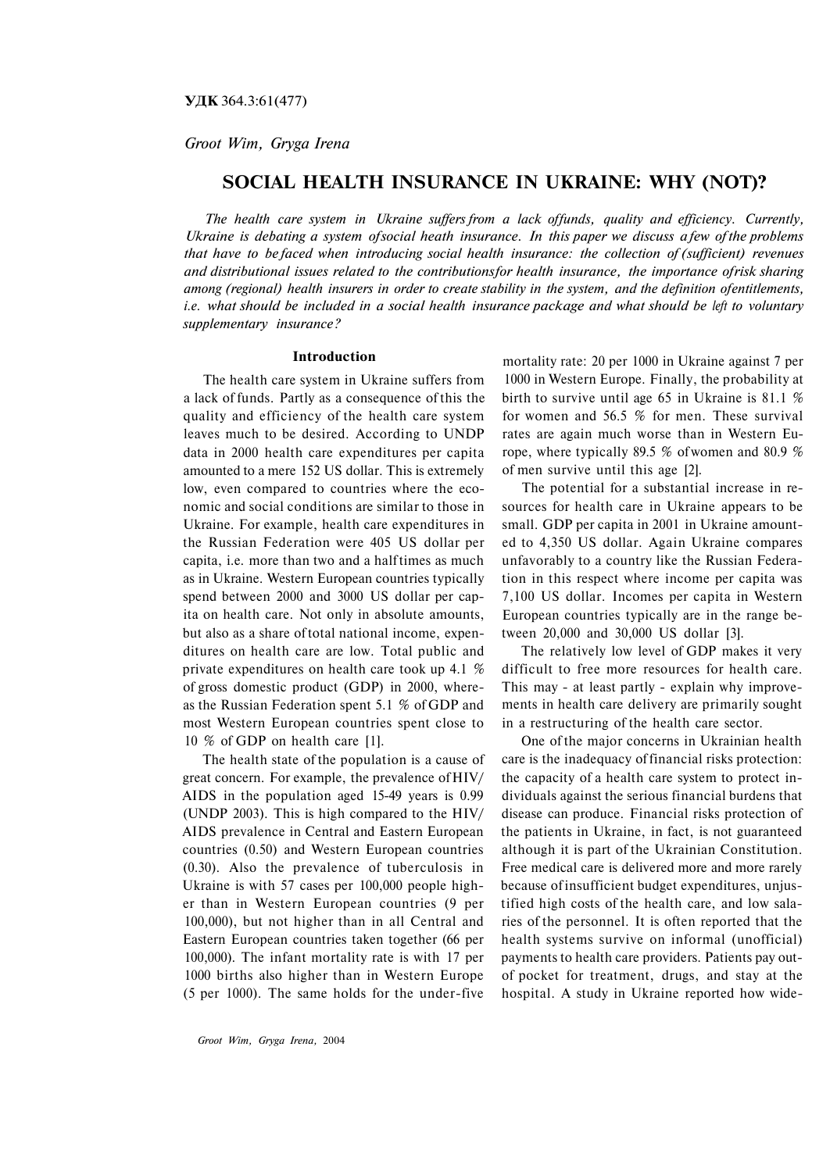*Groot Wim, Gryga Irena*

# **SOCIAL HEALTH INSURANCE IN UKRAINE: WHY (NOT)?**

*The health care system in Ukraine suffers from a lack of funds, quality and efficiency. Currently, Ukraine is debating a system of social heath insurance. In this paper we discuss a few of the problems that have to be faced when introducing social health insurance: the collection of (sufficient) revenues and distributional issues related to the contributions for health insurance, the importance of risk sharing among (regional) health insurers in order to create stability in the system, and the definition of entitlements, i.e. what should be included in a social health insurance package and what should be left to voluntary supplementary insurance?*

### **Introduction**

The health care system in Ukraine suffers from a lack of funds. Partly as a consequence of this the quality and efficiency of the health care system leaves much to be desired. According to UNDP data in 2000 health care expenditures per capita amounted to a mere 152 US dollar. This is extremely low, even compared to countries where the economic and social conditions are similar to those in Ukraine. For example, health care expenditures in the Russian Federation were 405 US dollar per capita, i.e. more than two and a half times as much as in Ukraine. Western European countries typically spend between 2000 and 3000 US dollar per capita on health care. Not only in absolute amounts, but also as a share of total national income, expenditures on health care are low. Total public and private expenditures on health care took up 4.1 % of gross domestic product (GDP) in 2000, whereas the Russian Federation spent 5.1 % of GDP and most Western European countries spent close to 10 % of GDP on health care [1].

The health state of the population is a cause of great concern. For example, the prevalence of HIV/ AIDS in the population aged 15-49 years is 0.99 (UNDP 2003). This is high compared to the HIV/ AIDS prevalence in Central and Eastern European countries (0.50) and Western European countries (0.30). Also the prevalence of tuberculosis in Ukraine is with 57 cases per 100,000 people higher than in Western European countries (9 per 100,000), but not higher than in all Central and Eastern European countries taken together (66 per 100,000). The infant mortality rate is with 17 per 1000 births also higher than in Western Europe (5 per 1000). The same holds for the under-five

*Groot Wim, Gryga Irena,* 2004

mortality rate: 20 per 1000 in Ukraine against 7 per 1000 in Western Europe. Finally, the probability at birth to survive until age 65 in Ukraine is 81.1 % for women and 56.5 % for men. These survival rates are again much worse than in Western Europe, where typically 89.5 % of women and 80.9 % of men survive until this age [2].

The potential for a substantial increase in resources for health care in Ukraine appears to be small. GDP per capita in 2001 in Ukraine amounted to 4,350 US dollar. Again Ukraine compares unfavorably to a country like the Russian Federation in this respect where income per capita was 7,100 US dollar. Incomes per capita in Western European countries typically are in the range between 20,000 and 30,000 US dollar [3].

The relatively low level of GDP makes it very difficult to free more resources for health care. This may - at least partly - explain why improvements in health care delivery are primarily sought in a restructuring of the health care sector.

One of the major concerns in Ukrainian health care is the inadequacy of financial risks protection: the capacity of a health care system to protect individuals against the serious financial burdens that disease can produce. Financial risks protection of the patients in Ukraine, in fact, is not guaranteed although it is part of the Ukrainian Constitution. Free medical care is delivered more and more rarely because of insufficient budget expenditures, unjustified high costs of the health care, and low salaries of the personnel. It is often reported that the health systems survive on informal (unofficial) payments to health care providers. Patients pay outof pocket for treatment, drugs, and stay at the hospital. A study in Ukraine reported how wide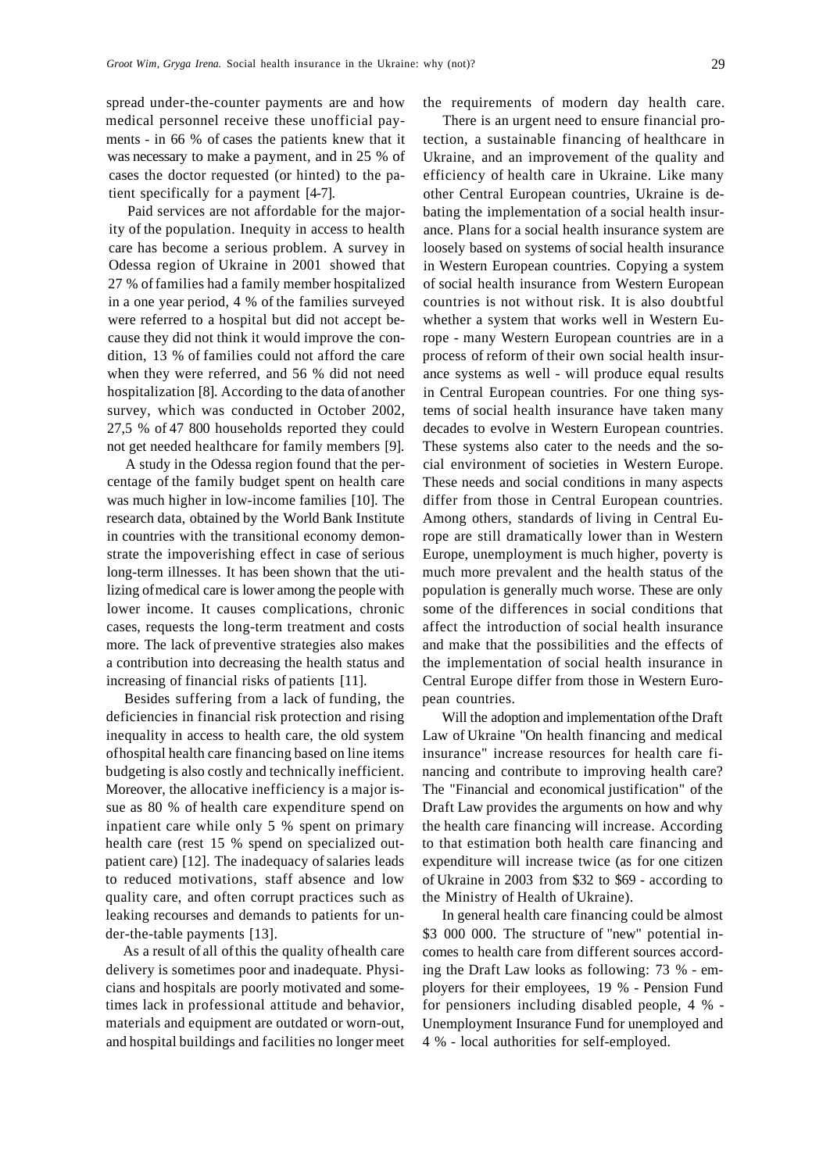spread under-the-counter payments are and how medical personnel receive these unofficial payments - in 66 % of cases the patients knew that it was necessary to make a payment, and in 25 % of cases the doctor requested (or hinted) to the patient specifically for a payment [4-7].

Paid services are not affordable for the majority of the population. Inequity in access to health care has become a serious problem. A survey in Odessa region of Ukraine in 2001 showed that 27 % of families had a family member hospitalized in a one year period, 4 % of the families surveyed were referred to a hospital but did not accept because they did not think it would improve the condition, 13 % of families could not afford the care when they were referred, and 56 % did not need hospitalization [8]. According to the data of another survey, which was conducted in October 2002, 27,5 % of 47 800 households reported they could not get needed healthcare for family members [9].

A study in the Odessa region found that the percentage of the family budget spent on health care was much higher in low-income families [10]. The research data, obtained by the World Bank Institute in countries with the transitional economy demonstrate the impoverishing effect in case of serious long-term illnesses. It has been shown that the utilizing of medical care is lower among the people with lower income. It causes complications, chronic cases, requests the long-term treatment and costs more. The lack of preventive strategies also makes a contribution into decreasing the health status and increasing of financial risks of patients [11].

Besides suffering from a lack of funding, the deficiencies in financial risk protection and rising inequality in access to health care, the old system of hospital health care financing based on line items budgeting is also costly and technically inefficient. Moreover, the allocative inefficiency is a major issue as 80 % of health care expenditure spend on inpatient care while only 5 % spent on primary health care (rest 15 % spend on specialized outpatient care) [12]. The inadequacy of salaries leads to reduced motivations, staff absence and low quality care, and often corrupt practices such as leaking recourses and demands to patients for under-the-table payments [13].

As a result of all of this the quality of health care delivery is sometimes poor and inadequate. Physicians and hospitals are poorly motivated and sometimes lack in professional attitude and behavior, materials and equipment are outdated or worn-out, and hospital buildings and facilities no longer meet

the requirements of modern day health care.

There is an urgent need to ensure financial protection, a sustainable financing of healthcare in Ukraine, and an improvement of the quality and efficiency of health care in Ukraine. Like many other Central European countries, Ukraine is debating the implementation of a social health insurance. Plans for a social health insurance system are loosely based on systems of social health insurance in Western European countries. Copying a system of social health insurance from Western European countries is not without risk. It is also doubtful whether a system that works well in Western Europe - many Western European countries are in a process of reform of their own social health insurance systems as well - will produce equal results in Central European countries. For one thing systems of social health insurance have taken many decades to evolve in Western European countries. These systems also cater to the needs and the social environment of societies in Western Europe. These needs and social conditions in many aspects differ from those in Central European countries. Among others, standards of living in Central Europe are still dramatically lower than in Western Europe, unemployment is much higher, poverty is much more prevalent and the health status of the population is generally much worse. These are only some of the differences in social conditions that affect the introduction of social health insurance and make that the possibilities and the effects of the implementation of social health insurance in Central Europe differ from those in Western European countries.

Will the adoption and implementation of the Draft Law of Ukraine "On health financing and medical insurance" increase resources for health care financing and contribute to improving health care? The "Financial and economical justification" of the Draft Law provides the arguments on how and why the health care financing will increase. According to that estimation both health care financing and expenditure will increase twice (as for one citizen of Ukraine in 2003 from \$32 to \$69 - according to the Ministry of Health of Ukraine).

In general health care financing could be almost \$3 000 000. The structure of "new" potential incomes to health care from different sources according the Draft Law looks as following: 73 % - employers for their employees, 19 % - Pension Fund for pensioners including disabled people, 4 % - Unemployment Insurance Fund for unemployed and 4 % - local authorities for self-employed.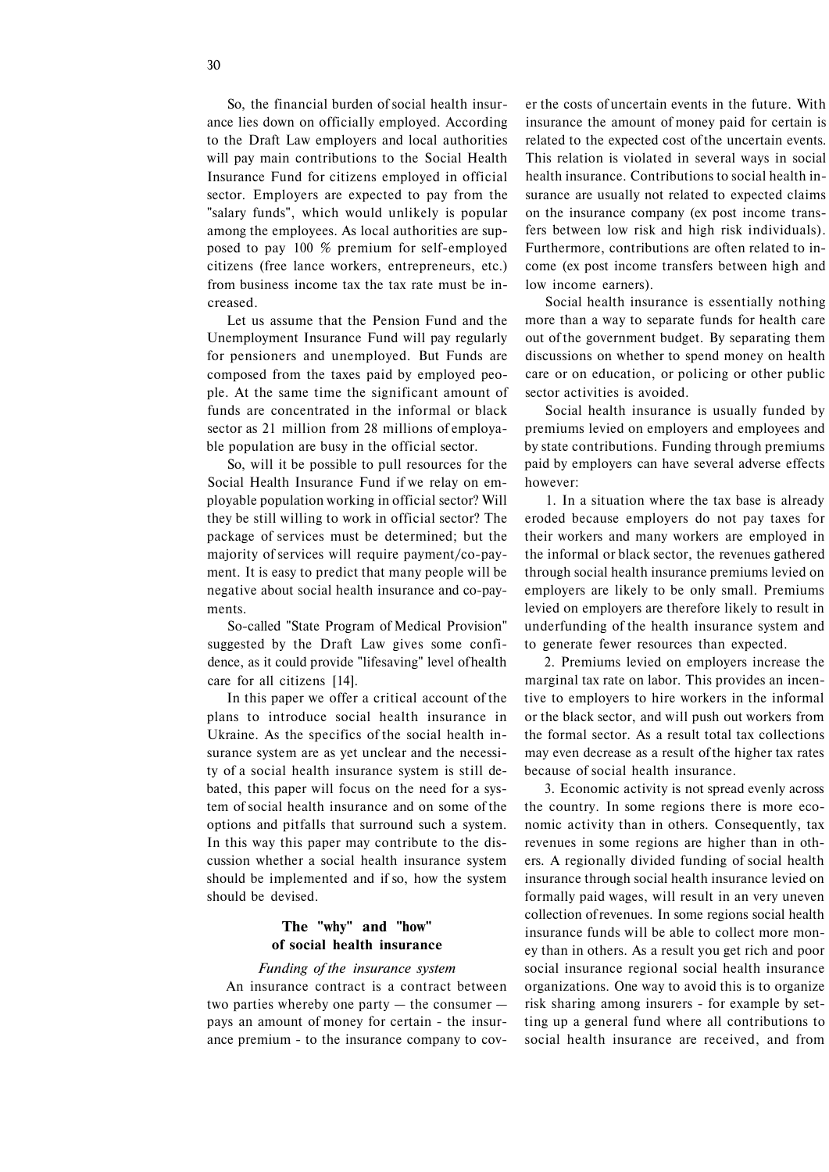So, the financial burden of social health insurance lies down on officially employed. According to the Draft Law employers and local authorities will pay main contributions to the Social Health Insurance Fund for citizens employed in official sector. Employers are expected to pay from the "salary funds", which would unlikely is popular among the employees. As local authorities are supposed to pay 100 % premium for self-employed citizens (free lance workers, entrepreneurs, etc.) from business income tax the tax rate must be increased.

Let us assume that the Pension Fund and the Unemployment Insurance Fund will pay regularly for pensioners and unemployed. But Funds are composed from the taxes paid by employed people. At the same time the significant amount of funds are concentrated in the informal or black sector as 21 million from 28 millions of employable population are busy in the official sector.

So, will it be possible to pull resources for the Social Health Insurance Fund if we relay on employable population working in official sector? Will they be still willing to work in official sector? The package of services must be determined; but the majority of services will require payment/co-payment. It is easy to predict that many people will be negative about social health insurance and co-payments.

So-called "State Program of Medical Provision" suggested by the Draft Law gives some confidence, as it could provide "lifesaving" level of health care for all citizens [14].

In this paper we offer a critical account of the plans to introduce social health insurance in Ukraine. As the specifics of the social health insurance system are as yet unclear and the necessity of a social health insurance system is still debated, this paper will focus on the need for a system of social health insurance and on some of the options and pitfalls that surround such a system. In this way this paper may contribute to the discussion whether a social health insurance system should be implemented and if so, how the system should be devised.

# **The "why" and "how" of social health insurance**

## *Funding of the insurance system*

An insurance contract is a contract between two parties whereby one party — the consumer pays an amount of money for certain - the insurance premium - to the insurance company to cover the costs of uncertain events in the future. With insurance the amount of money paid for certain is related to the expected cost of the uncertain events. This relation is violated in several ways in social health insurance. Contributions to social health insurance are usually not related to expected claims on the insurance company (ex post income transfers between low risk and high risk individuals). Furthermore, contributions are often related to income (ex post income transfers between high and low income earners).

Social health insurance is essentially nothing more than a way to separate funds for health care out of the government budget. By separating them discussions on whether to spend money on health care or on education, or policing or other public sector activities is avoided.

Social health insurance is usually funded by premiums levied on employers and employees and by state contributions. Funding through premiums paid by employers can have several adverse effects however:

1. In a situation where the tax base is already eroded because employers do not pay taxes for their workers and many workers are employed in the informal or black sector, the revenues gathered through social health insurance premiums levied on employers are likely to be only small. Premiums levied on employers are therefore likely to result in underfunding of the health insurance system and to generate fewer resources than expected.

2. Premiums levied on employers increase the marginal tax rate on labor. This provides an incentive to employers to hire workers in the informal or the black sector, and will push out workers from the formal sector. As a result total tax collections may even decrease as a result of the higher tax rates because of social health insurance.

3. Economic activity is not spread evenly across the country. In some regions there is more economic activity than in others. Consequently, tax revenues in some regions are higher than in others. A regionally divided funding of social health insurance through social health insurance levied on formally paid wages, will result in an very uneven collection of revenues. In some regions social health insurance funds will be able to collect more money than in others. As a result you get rich and poor social insurance regional social health insurance organizations. One way to avoid this is to organize risk sharing among insurers - for example by setting up a general fund where all contributions to social health insurance are received, and from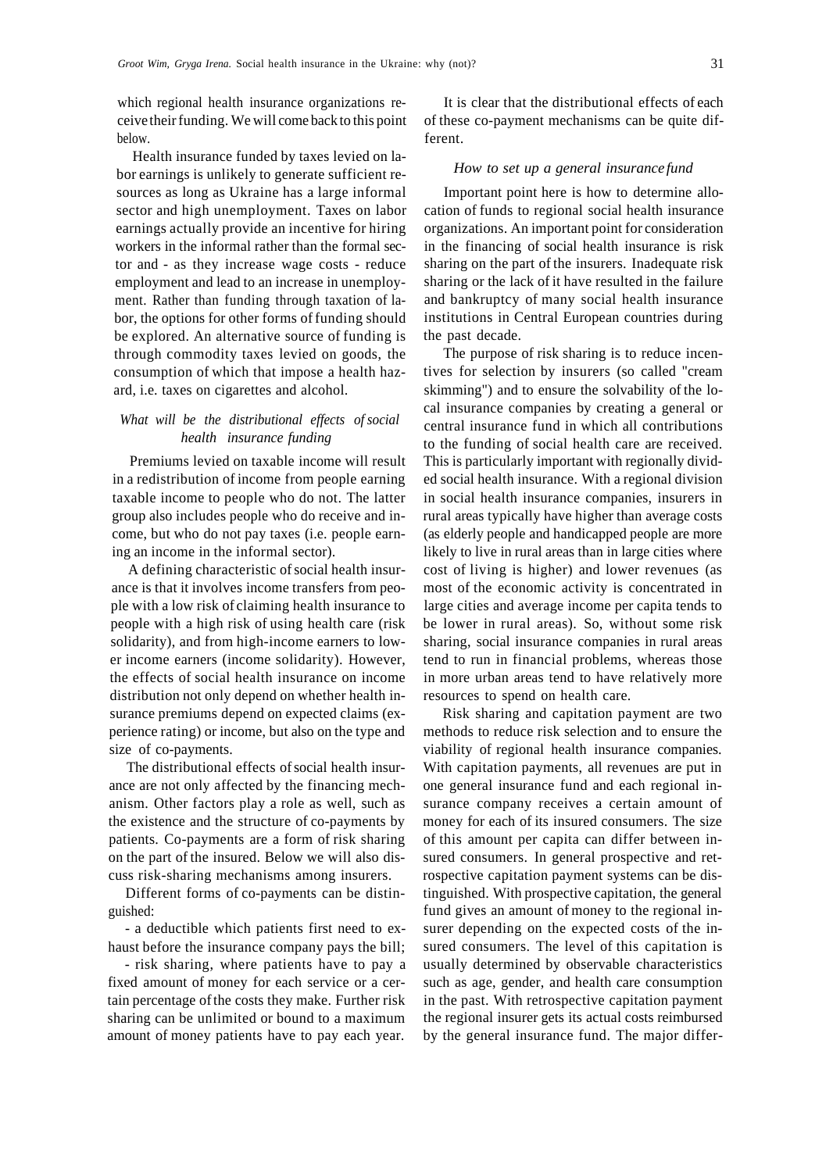which regional health insurance organizations receive their funding. We will come back to this point below.

Health insurance funded by taxes levied on labor earnings is unlikely to generate sufficient resources as long as Ukraine has a large informal sector and high unemployment. Taxes on labor earnings actually provide an incentive for hiring workers in the informal rather than the formal sector and - as they increase wage costs - reduce employment and lead to an increase in unemployment. Rather than funding through taxation of labor, the options for other forms of funding should be explored. An alternative source of funding is through commodity taxes levied on goods, the consumption of which that impose a health hazard, i.e. taxes on cigarettes and alcohol.

# *What will be the distributional effects of social health insurance funding*

Premiums levied on taxable income will result in a redistribution of income from people earning taxable income to people who do not. The latter group also includes people who do receive and income, but who do not pay taxes (i.e. people earning an income in the informal sector).

A defining characteristic of social health insurance is that it involves income transfers from people with a low risk of claiming health insurance to people with a high risk of using health care (risk solidarity), and from high-income earners to lower income earners (income solidarity). However, the effects of social health insurance on income distribution not only depend on whether health insurance premiums depend on expected claims (experience rating) or income, but also on the type and size of co-payments.

The distributional effects of social health insurance are not only affected by the financing mechanism. Other factors play a role as well, such as the existence and the structure of co-payments by patients. Co-payments are a form of risk sharing on the part of the insured. Below we will also discuss risk-sharing mechanisms among insurers.

Different forms of co-payments can be distinguished:

- a deductible which patients first need to exhaust before the insurance company pays the bill;

- risk sharing, where patients have to pay a fixed amount of money for each service or a certain percentage of the costs they make. Further risk sharing can be unlimited or bound to a maximum amount of money patients have to pay each year.

It is clear that the distributional effects of each of these co-payment mechanisms can be quite different.

## *How to set up a general insurance fund*

Important point here is how to determine allocation of funds to regional social health insurance organizations. An important point for consideration in the financing of social health insurance is risk sharing on the part of the insurers. Inadequate risk sharing or the lack of it have resulted in the failure and bankruptcy of many social health insurance institutions in Central European countries during the past decade.

The purpose of risk sharing is to reduce incentives for selection by insurers (so called "cream skimming") and to ensure the solvability of the local insurance companies by creating a general or central insurance fund in which all contributions to the funding of social health care are received. This is particularly important with regionally divided social health insurance. With a regional division in social health insurance companies, insurers in rural areas typically have higher than average costs (as elderly people and handicapped people are more likely to live in rural areas than in large cities where cost of living is higher) and lower revenues (as most of the economic activity is concentrated in large cities and average income per capita tends to be lower in rural areas). So, without some risk sharing, social insurance companies in rural areas tend to run in financial problems, whereas those in more urban areas tend to have relatively more resources to spend on health care.

Risk sharing and capitation payment are two methods to reduce risk selection and to ensure the viability of regional health insurance companies. With capitation payments, all revenues are put in one general insurance fund and each regional insurance company receives a certain amount of money for each of its insured consumers. The size of this amount per capita can differ between insured consumers. In general prospective and retrospective capitation payment systems can be distinguished. With prospective capitation, the general fund gives an amount of money to the regional insurer depending on the expected costs of the insured consumers. The level of this capitation is usually determined by observable characteristics such as age, gender, and health care consumption in the past. With retrospective capitation payment the regional insurer gets its actual costs reimbursed by the general insurance fund. The major differ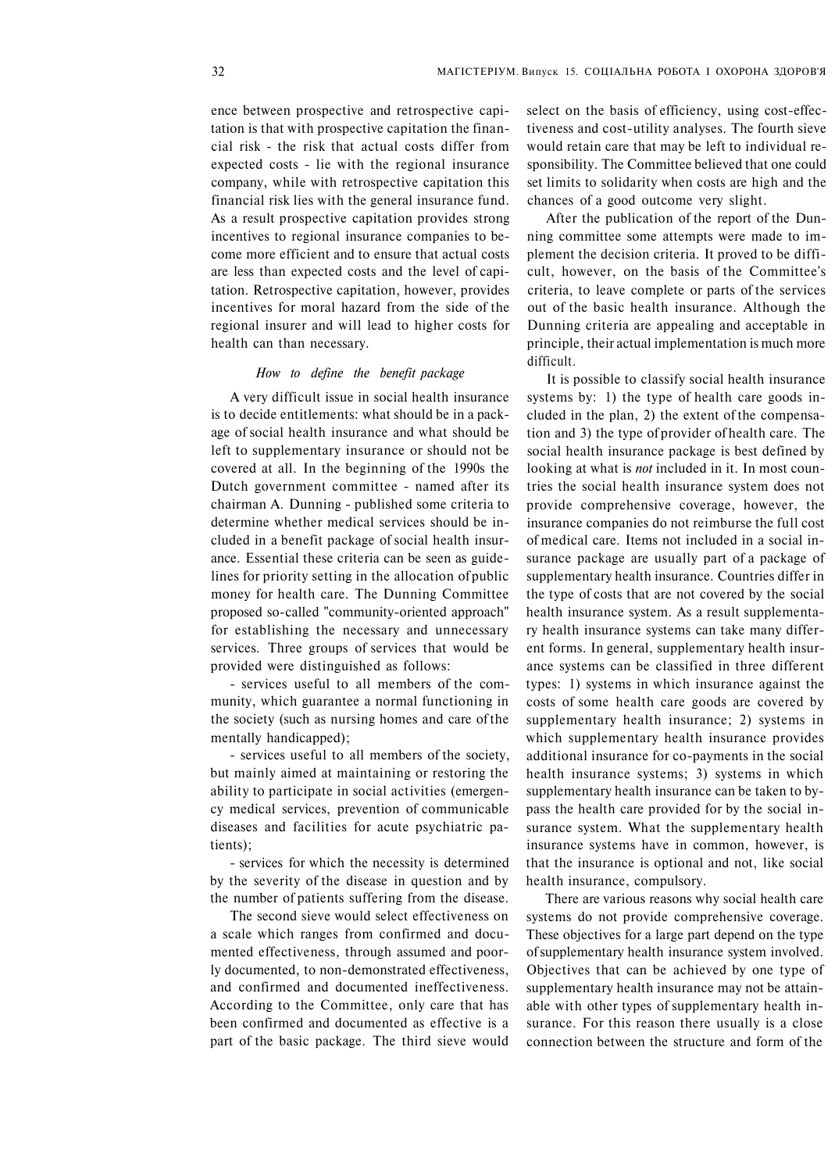ence between prospective and retrospective capitation is that with prospective capitation the financial risk - the risk that actual costs differ from expected costs - lie with the regional insurance company, while with retrospective capitation this financial risk lies with the general insurance fund. As a result prospective capitation provides strong incentives to regional insurance companies to become more efficient and to ensure that actual costs are less than expected costs and the level of capitation. Retrospective capitation, however, provides incentives for moral hazard from the side of the regional insurer and will lead to higher costs for health can than necessary.

## *How to define the benefit package*

A very difficult issue in social health insurance is to decide entitlements: what should be in a package of social health insurance and what should be left to supplementary insurance or should not be covered at all. In the beginning of the 1990s the Dutch government committee - named after its chairman A. Dunning - published some criteria to determine whether medical services should be included in a benefit package of social health insurance. Essential these criteria can be seen as guidelines for priority setting in the allocation of public money for health care. The Dunning Committee proposed so-called "community-oriented approach" for establishing the necessary and unnecessary services. Three groups of services that would be provided were distinguished as follows:

- services useful to all members of the community, which guarantee a normal functioning in the society (such as nursing homes and care of the mentally handicapped);

- services useful to all members of the society, but mainly aimed at maintaining or restoring the ability to participate in social activities (emergency medical services, prevention of communicable diseases and facilities for acute psychiatric patients);

- services for which the necessity is determined by the severity of the disease in question and by the number of patients suffering from the disease.

The second sieve would select effectiveness on a scale which ranges from confirmed and documented effectiveness, through assumed and poorly documented, to non-demonstrated effectiveness, and confirmed and documented ineffectiveness. According to the Committee, only care that has been confirmed and documented as effective is a part of the basic package. The third sieve would select on the basis of efficiency, using cost-effectiveness and cost-utility analyses. The fourth sieve would retain care that may be left to individual responsibility. The Committee believed that one could set limits to solidarity when costs are high and the chances of a good outcome very slight.

After the publication of the report of the Dunning committee some attempts were made to implement the decision criteria. It proved to be difficult, however, on the basis of the Committee's criteria, to leave complete or parts of the services out of the basic health insurance. Although the Dunning criteria are appealing and acceptable in principle, their actual implementation is much more difficult.

It is possible to classify social health insurance systems by: 1) the type of health care goods included in the plan, 2) the extent of the compensation and 3) the type of provider of health care. The social health insurance package is best defined by looking at what is *not* included in it. In most countries the social health insurance system does not provide comprehensive coverage, however, the insurance companies do not reimburse the full cost of medical care. Items not included in a social insurance package are usually part of a package of supplementary health insurance. Countries differ in the type of costs that are not covered by the social health insurance system. As a result supplementary health insurance systems can take many different forms. In general, supplementary health insurance systems can be classified in three different types: 1) systems in which insurance against the costs of some health care goods are covered by supplementary health insurance; 2) systems in which supplementary health insurance provides additional insurance for co-payments in the social health insurance systems; 3) systems in which supplementary health insurance can be taken to bypass the health care provided for by the social insurance system. What the supplementary health insurance systems have in common, however, is that the insurance is optional and not, like social health insurance, compulsory.

There are various reasons why social health care systems do not provide comprehensive coverage. These objectives for a large part depend on the type of supplementary health insurance system involved. Objectives that can be achieved by one type of supplementary health insurance may not be attainable with other types of supplementary health insurance. For this reason there usually is a close connection between the structure and form of the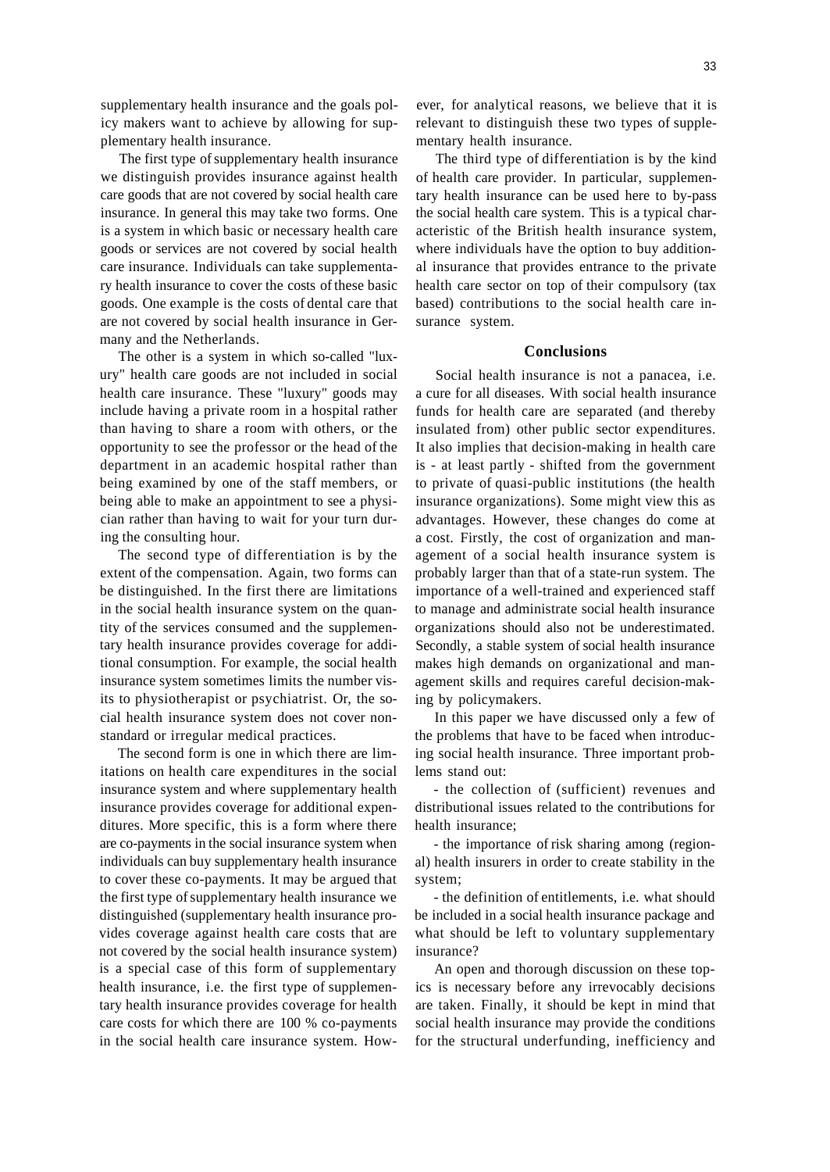supplementary health insurance and the goals policy makers want to achieve by allowing for supplementary health insurance.

The first type of supplementary health insurance we distinguish provides insurance against health care goods that are not covered by social health care insurance. In general this may take two forms. One is a system in which basic or necessary health care goods or services are not covered by social health care insurance. Individuals can take supplementary health insurance to cover the costs of these basic goods. One example is the costs of dental care that are not covered by social health insurance in Germany and the Netherlands.

The other is a system in which so-called "luxury" health care goods are not included in social health care insurance. These "luxury" goods may include having a private room in a hospital rather than having to share a room with others, or the opportunity to see the professor or the head of the department in an academic hospital rather than being examined by one of the staff members, or being able to make an appointment to see a physician rather than having to wait for your turn during the consulting hour.

The second type of differentiation is by the extent of the compensation. Again, two forms can be distinguished. In the first there are limitations in the social health insurance system on the quantity of the services consumed and the supplementary health insurance provides coverage for additional consumption. For example, the social health insurance system sometimes limits the number visits to physiotherapist or psychiatrist. Or, the social health insurance system does not cover nonstandard or irregular medical practices.

The second form is one in which there are limitations on health care expenditures in the social insurance system and where supplementary health insurance provides coverage for additional expenditures. More specific, this is a form where there are co-payments in the social insurance system when individuals can buy supplementary health insurance to cover these co-payments. It may be argued that the first type of supplementary health insurance we distinguished (supplementary health insurance provides coverage against health care costs that are not covered by the social health insurance system) is a special case of this form of supplementary health insurance, i.e. the first type of supplementary health insurance provides coverage for health care costs for which there are 100 % co-payments in the social health care insurance system. However, for analytical reasons, we believe that it is relevant to distinguish these two types of supplementary health insurance.

The third type of differentiation is by the kind of health care provider. In particular, supplementary health insurance can be used here to by-pass the social health care system. This is a typical characteristic of the British health insurance system, where individuals have the option to buy additional insurance that provides entrance to the private health care sector on top of their compulsory (tax based) contributions to the social health care insurance system.

#### **Conclusions**

Social health insurance is not a panacea, i.e. a cure for all diseases. With social health insurance funds for health care are separated (and thereby insulated from) other public sector expenditures. It also implies that decision-making in health care is - at least partly - shifted from the government to private of quasi-public institutions (the health insurance organizations). Some might view this as advantages. However, these changes do come at a cost. Firstly, the cost of organization and management of a social health insurance system is probably larger than that of a state-run system. The importance of a well-trained and experienced staff to manage and administrate social health insurance organizations should also not be underestimated. Secondly, a stable system of social health insurance makes high demands on organizational and management skills and requires careful decision-making by policymakers.

In this paper we have discussed only a few of the problems that have to be faced when introducing social health insurance. Three important problems stand out:

- the collection of (sufficient) revenues and distributional issues related to the contributions for health insurance;

- the importance of risk sharing among (regional) health insurers in order to create stability in the system;

- the definition of entitlements, i.e. what should be included in a social health insurance package and what should be left to voluntary supplementary insurance?

An open and thorough discussion on these topics is necessary before any irrevocably decisions are taken. Finally, it should be kept in mind that social health insurance may provide the conditions for the structural underfunding, inefficiency and